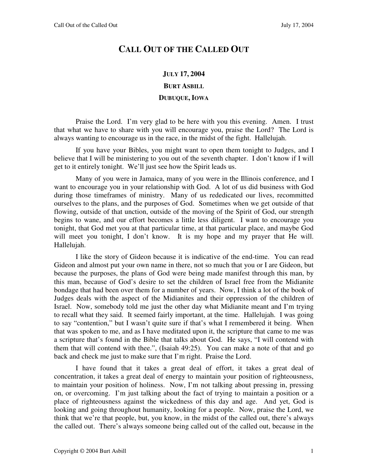## **CALL OUT OF THE CALLED OUT**

## **JULY 17, 2004 BURT ASBILL DUBUQUE, IOWA**

Praise the Lord. I'm very glad to be here with you this evening. Amen. I trust that what we have to share with you will encourage you, praise the Lord? The Lord is always wanting to encourage us in the race, in the midst of the fight. Hallelujah.

If you have your Bibles, you might want to open them tonight to Judges, and I believe that I will be ministering to you out of the seventh chapter. I don't know if I will get to it entirely tonight. We'll just see how the Spirit leads us.

Many of you were in Jamaica, many of you were in the Illinois conference, and I want to encourage you in your relationship with God. A lot of us did business with God during those timeframes of ministry. Many of us rededicated our lives, recommitted ourselves to the plans, and the purposes of God. Sometimes when we get outside of that flowing, outside of that unction, outside of the moving of the Spirit of God, our strength begins to wane, and our effort becomes a little less diligent. I want to encourage you tonight, that God met you at that particular time, at that particular place, and maybe God will meet you tonight, I don't know. It is my hope and my prayer that He will. Hallelujah.

I like the story of Gideon because it is indicative of the end-time. You can read Gideon and almost put your own name in there, not so much that you or I are Gideon, but because the purposes, the plans of God were being made manifest through this man, by this man, because of God's desire to set the children of Israel free from the Midianite bondage that had been over them for a number of years. Now, I think a lot of the book of Judges deals with the aspect of the Midianites and their oppression of the children of Israel. Now, somebody told me just the other day what Midianite meant and I'm trying to recall what they said. It seemed fairly important, at the time. Hallelujah. I was going to say "contention," but I wasn't quite sure if that's what I remembered it being. When that was spoken to me, and as I have meditated upon it, the scripture that came to me was a scripture that's found in the Bible that talks about God. He says, "I will contend with them that will contend with thee.", (Isaiah 49:25). You can make a note of that and go back and check me just to make sure that I'm right. Praise the Lord.

I have found that it takes a great deal of effort, it takes a great deal of concentration, it takes a great deal of energy to maintain your position of righteousness, to maintain your position of holiness. Now, I'm not talking about pressing in, pressing on, or overcoming. I'm just talking about the fact of trying to maintain a position or a place of righteousness against the wickedness of this day and age. And yet, God is looking and going throughout humanity, looking for a people. Now, praise the Lord, we think that we're that people, but, you know, in the midst of the called out, there's always the called out. There's always someone being called out of the called out, because in the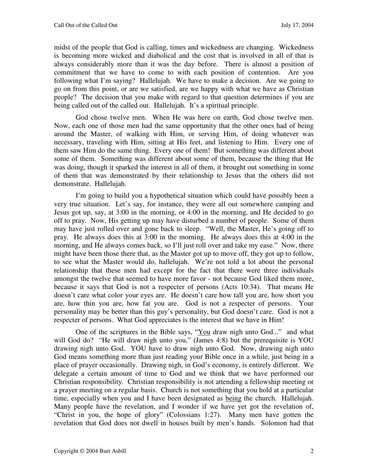midst of the people that God is calling, times and wickedness are changing. Wickedness is becoming more wicked and diabolical and the cost that is involved in all of that is always considerably more than it was the day before. There is almost a position of commitment that we have to come to with each position of contention. Are you following what I'm saying? Hallelujah. We have to make a decision. Are we going to go on from this point, or are we satisfied, are we happy with what we have as Christian people? The decision that you make with regard to that question determines if you are being called out of the called out. Hallelujah. It's a spiritual principle.

God chose twelve men. When He was here on earth, God chose twelve men. Now, each one of those men had the same opportunity that the other ones had of being around the Master, of walking with Him, or serving Him, of doing whatever was necessary, traveling with Him, sitting at His feet, and listening to Him. Every one of them saw Him do the same thing. Every one of them! But something was different about some of them. Something was different about some of them, because the thing that He was doing, though it sparked the interest in all of them, it brought out something in some of them that was demonstrated by their relationship to Jesus that the others did not demonstrate. Hallelujah.

I'm going to build you a hypothetical situation which could have possibly been a very true situation. Let's say, for instance, they were all out somewhere camping and Jesus got up, say, at 3:00 in the morning, or 4:00 in the morning, and He decided to go off to pray. Now, His getting up may have disturbed a number of people. Some of them may have just rolled over and gone back to sleep. "Well, the Master, He's going off to pray. He always does this at 3:00 in the morning. He always does this at 4:00 in the morning, and He always comes back, so I'll just roll over and take my ease." Now, there might have been those there that, as the Master got up to move off, they got up to follow, to see what the Master would do, hallelujah. We're not told a lot about the personal relationship that these men had except for the fact that there were three individuals amongst the twelve that seemed to have more favor - not because God liked them more, because it says that God is not a respecter of persons (Acts 10:34). That means He doesn't care what color your eyes are. He doesn't care how tall you are, how short you are, how thin you are, how fat you are. God is not a respecter of persons. Your personality may be better than this guy's personality, but God doesn't care. God is not a respecter of persons. What God appreciates is the interest that we have in Him!

One of the scriptures in the Bible says, "You draw nigh unto God..." and what will God do? "He will draw nigh unto you," (James 4:8) but the prerequisite is YOU drawing nigh unto God. YOU have to draw nigh unto God. Now, drawing nigh unto God means something more than just reading your Bible once in a while, just being in a place of prayer occasionally. Drawing nigh, in God's economy, is entirely different. We delegate a certain amount of time to God and we think that we have performed our Christian responsibility. Christian responsibility is not attending a fellowship meeting or a prayer meeting on a regular basis. Church is not something that you hold at a particular time, especially when you and I have been designated as being the church. Hallelujah. Many people have the revelation, and I wonder if we have yet got the revelation of, "Christ in you, the hope of glory" (Colossians 1:27). Many men have gotten the revelation that God does not dwell in houses built by men's hands. Solomon had that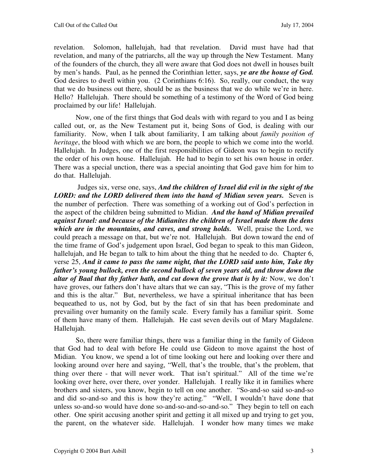revelation. Solomon, hallelujah, had that revelation. David must have had that revelation, and many of the patriarchs, all the way up through the New Testament. Many of the founders of the church, they all were aware that God does not dwell in houses built by men's hands. Paul, as he penned the Corinthian letter, says, *ye are the house of God.*  God desires to dwell within you. (2 Corinthians 6:16). So, really, our conduct, the way that we do business out there, should be as the business that we do while we're in here. Hello? Hallelujah. There should be something of a testimony of the Word of God being proclaimed by our life! Hallelujah.

Now, one of the first things that God deals with with regard to you and I as being called out, or, as the New Testament put it, being Sons of God, is dealing with our familiarity. Now, when I talk about familiarity, I am talking about *family position of heritage*, the blood with which we are born, the people to which we come into the world. Hallelujah. In Judges, one of the first responsibilities of Gideon was to begin to rectify the order of his own house. Hallelujah. He had to begin to set his own house in order. There was a special unction, there was a special anointing that God gave him for him to do that. Hallelujah.

 Judges six, verse one, says, *And the children of Israel did evil in the sight of the LORD: and the LORD delivered them into the hand of Midian seven years.* **Seven is** the number of perfection. There was something of a working out of God's perfection in the aspect of the children being submitted to Midian. *And the hand of Midian prevailed against Israel: and because of the Midianites the children of Israel made them the dens which are in the mountains, and caves, and strong holds.* Well, praise the Lord, we could preach a message on that, but we're not. Hallelujah. But down toward the end of the time frame of God's judgement upon Israel, God began to speak to this man Gideon, hallelujah, and He began to talk to him about the thing that he needed to do. Chapter 6, verse 25, *And it came to pass the same night, that the LORD said unto him, Take thy father's young bullock, even the second bullock of seven years old, and throw down the altar of Baal that thy father hath, and cut down the grove that is by it: Now, we don't* have groves, our fathers don't have altars that we can say, "This is the grove of my father and this is the altar." But, nevertheless, we have a spiritual inheritance that has been bequeathed to us, not by God, but by the fact of sin that has been predominate and prevailing over humanity on the family scale. Every family has a familiar spirit. Some of them have many of them. Hallelujah. He cast seven devils out of Mary Magdalene. Hallelujah.

 So, there were familiar things, there was a familiar thing in the family of Gideon that God had to deal with before He could use Gideon to move against the host of Midian. You know, we spend a lot of time looking out here and looking over there and looking around over here and saying, "Well, that's the trouble, that's the problem, that thing over there - that will never work. That isn't spiritual." All of the time we're looking over here, over there, over yonder. Hallelujah. I really like it in families where brothers and sisters, you know, begin to tell on one another. "So-and-so said so-and-so and did so-and-so and this is how they're acting." "Well, I wouldn't have done that unless so-and-so would have done so-and-so-and-so-and-so." They begin to tell on each other. One spirit accusing another spirit and getting it all mixed up and trying to get you, the parent, on the whatever side. Hallelujah. I wonder how many times we make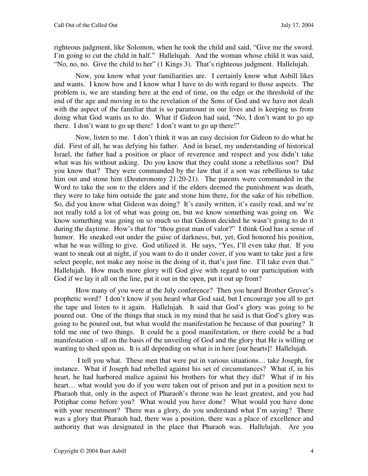righteous judgment, like Solomon, when he took the child and said, "Give me the sword. I'm going to cut the child in half." Hallelujah. And the woman whose child it was said, "No, no, no. Give the child to her" (1 Kings 3). That's righteous judgment. Hallelujah.

 Now, you know what your familiarities are. I certainly know what Asbill likes and wants. I know how and I know what I have to do with regard to those aspects. The problem is, we are standing here at the end of time, on the edge or the threshold of the end of the age and moving in to the revelation of the Sons of God and we have not dealt with the aspect of the familiar that is so paramount in our lives and is keeping us from doing what God wants us to do. What if Gideon had said, "No, I don't want to go up there. I don't want to go up there! I don't want to go up there!"

 Now, listen to me. I don't think it was an easy decision for Gideon to do what he did. First of all, he was defying his father. And in Israel, my understanding of historical Israel, the father had a position or place of reverence and respect and you didn't take what was his without asking. Do you know that they could stone a rebellious son? Did you know that? They were commanded by the law that if a son was rebellious to take him out and stone him (Deuteronomy 21:20-21). The parents were commanded in the Word to take the son to the elders and if the elders deemed the punishment was death, they were to take him outside the gate and stone him there, for the sake of his rebellion. So, did you know what Gideon was doing? It's easily written, it's easily read, and we're not really told a lot of what was going on, but we know something was going on. We know something was going on so much so that Gideon decided he wasn't going to do it during the daytime. How's that for "thou great man of valor?" I think God has a sense of humor. He sneaked out under the guise of darkness, but, yet, God honored his position, what he was willing to give. God utilized it. He says, "Yes, I'll even take that. If you want to sneak out at night, if you want to do it under cover, if you want to take just a few select people, not make any noise in the doing of it, that's just fine. I'll take even that." Hallelujah. How much more glory will God give with regard to our participation with God if we lay it all on the line, put it out in the open, put it out up front?

 How many of you were at the July conference? Then you heard Brother Gruver's prophetic word? I don't know if you heard what God said, but I encourage you all to get the tape and listen to it again. Hallelujah. It said that God's glory was going to be poured out. One of the things that stuck in my mind that he said is that God's glory was going to be poured out, but what would the manifestation be because of that pouring? It told me one of two things. It could be a good manifestation, or there could be a bad manifestation – all on the basis of the unveiling of God and the glory that He is willing or wanting to shed upon us. It is all depending on what is in here [our hearts]! Hallelujah.

 I tell you what. These men that were put in various situations… take Joseph, for instance. What if Joseph had rebelled against his set of circumstances? What if, in his heart, he had harbored malice against his brothers for what they did? What if in his heart… what would you do if you were taken out of prison and put in a position next to Pharaoh that, only in the aspect of Pharaoh's throne was he least greatest, and you had Potiphar come before you? What would you have done? What would you have done with your resentment? There was a glory, do you understand what I'm saying? There was a glory that Pharaoh had, there was a position, there was a place of excellence and authority that was designated in the place that Pharaoh was. Hallelujah. Are you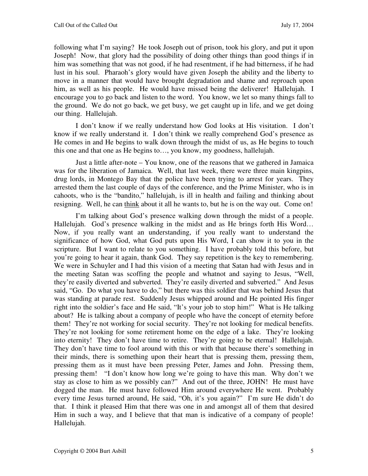following what I'm saying? He took Joseph out of prison, took his glory, and put it upon Joseph! Now, that glory had the possibility of doing other things than good things if in him was something that was not good, if he had resentment, if he had bitterness, if he had lust in his soul. Pharaoh's glory would have given Joseph the ability and the liberty to move in a manner that would have brought degradation and shame and reproach upon him, as well as his people. He would have missed being the deliverer! Hallelujah. I encourage you to go back and listen to the word. You know, we let so many things fall to the ground. We do not go back, we get busy, we get caught up in life, and we get doing our thing. Hallelujah.

I don't know if we really understand how God looks at His visitation. I don't know if we really understand it. I don't think we really comprehend God's presence as He comes in and He begins to walk down through the midst of us, as He begins to touch this one and that one as He begins to…, you know, my goodness, hallelujah.

Just a little after-note – You know, one of the reasons that we gathered in Jamaica was for the liberation of Jamaica. Well, that last week, there were three main kingpins, drug lords, in Montego Bay that the police have been trying to arrest for years. They arrested them the last couple of days of the conference, and the Prime Minister, who is in cahoots, who is the "bandito," hallelujah, is ill in health and failing and thinking about resigning. Well, he can think about it all he wants to, but he is on the way out. Come on!

I'm talking about God's presence walking down through the midst of a people. Hallelujah. God's presence walking in the midst and as He brings forth His Word... Now, if you really want an understanding, if you really want to understand the significance of how God, what God puts upon His Word, I can show it to you in the scripture. But I want to relate to you something. I have probably told this before, but you're going to hear it again, thank God. They say repetition is the key to remembering. We were in Schuyler and I had this vision of a meeting that Satan had with Jesus and in the meeting Satan was scoffing the people and whatnot and saying to Jesus, "Well, they're easily diverted and subverted. They're easily diverted and subverted." And Jesus said, "Go. Do what you have to do," but there was this soldier that was behind Jesus that was standing at parade rest. Suddenly Jesus whipped around and He pointed His finger right into the soldier's face and He said, "It's your job to stop him!" What is He talking about? He is talking about a company of people who have the concept of eternity before them! They're not working for social security. They're not looking for medical benefits. They're not looking for some retirement home on the edge of a lake. They're looking into eternity! They don't have time to retire. They're going to be eternal! Hallelujah. They don't have time to fool around with this or with that because there's something in their minds, there is something upon their heart that is pressing them, pressing them, pressing them as it must have been pressing Peter, James and John. Pressing them, pressing them! "I don't know how long we're going to have this man. Why don't we stay as close to him as we possibly can?" And out of the three, JOHN! He must have dogged the man. He must have followed Him around everywhere He went. Probably every time Jesus turned around, He said, "Oh, it's you again?" I'm sure He didn't do that. I think it pleased Him that there was one in and amongst all of them that desired Him in such a way, and I believe that that man is indicative of a company of people! Hallelujah.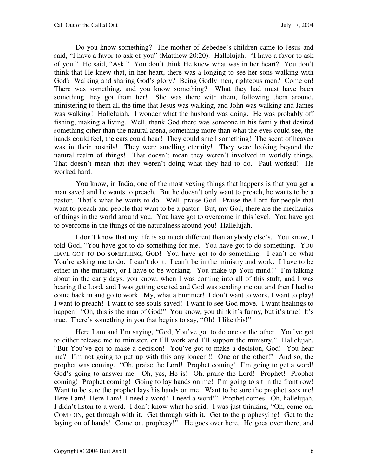Do you know something? The mother of Zebedee's children came to Jesus and said, "I have a favor to ask of you" (Matthew 20:20). Hallelujah. "I have a favor to ask of you." He said, "Ask." You don't think He knew what was in her heart? You don't think that He knew that, in her heart, there was a longing to see her sons walking with God? Walking and sharing God's glory? Being Godly men, righteous men? Come on! There was something, and you know something? What they had must have been something they got from her! She was there with them, following them around, ministering to them all the time that Jesus was walking, and John was walking and James was walking! Hallelujah. I wonder what the husband was doing. He was probably off fishing, making a living. Well, thank God there was someone in his family that desired something other than the natural arena, something more than what the eyes could see, the hands could feel, the ears could hear! They could smell something! The scent of heaven was in their nostrils! They were smelling eternity! They were looking beyond the natural realm of things! That doesn't mean they weren't involved in worldly things. That doesn't mean that they weren't doing what they had to do. Paul worked! He worked hard.

You know, in India, one of the most vexing things that happens is that you get a man saved and he wants to preach. But he doesn't only want to preach, he wants to be a pastor. That's what he wants to do. Well, praise God. Praise the Lord for people that want to preach and people that want to be a pastor. But, my God, there are the mechanics of things in the world around you. You have got to overcome in this level. You have got to overcome in the things of the naturalness around you! Hallelujah.

I don't know that my life is so much different than anybody else's. You know, I told God, "You have got to do something for me. You have got to do something. YOU HAVE GOT TO DO SOMETHING, GOD! You have got to do something. I can't do what You're asking me to do. I can't do it. I can't be in the ministry and work. I have to be either in the ministry, or I have to be working. You make up Your mind!" I'm talking about in the early days, you know, when I was coming into all of this stuff, and I was hearing the Lord, and I was getting excited and God was sending me out and then I had to come back in and go to work. My, what a bummer! I don't want to work, I want to play! I want to preach! I want to see souls saved! I want to see God move. I want healings to happen! "Oh, this is the man of God!" You know, you think it's funny, but it's true! It's true. There's something in you that begins to say, "Oh! I like this!"

Here I am and I'm saying, "God, You've got to do one or the other. You've got to either release me to minister, or I'll work and I'll support the ministry." Hallelujah. "But You've got to make a decision! You've got to make a decision, God! You hear me? I'm not going to put up with this any longer!!! One or the other!" And so, the prophet was coming. "Oh, praise the Lord! Prophet coming! I'm going to get a word! God's going to answer me. Oh, yes, He is! Oh, praise the Lord! Prophet! Prophet coming! Prophet coming! Going to lay hands on me! I'm going to sit in the front row! Want to be sure the prophet lays his hands on me. Want to be sure the prophet sees me! Here I am! Here I am! I need a word! I need a word!" Prophet comes. Oh, hallelujah. I didn't listen to a word. I don't know what he said. I was just thinking, "Oh, come on. COME ON, get through with it. Get through with it. Get to the prophesying! Get to the laying on of hands! Come on, prophesy!" He goes over here. He goes over there, and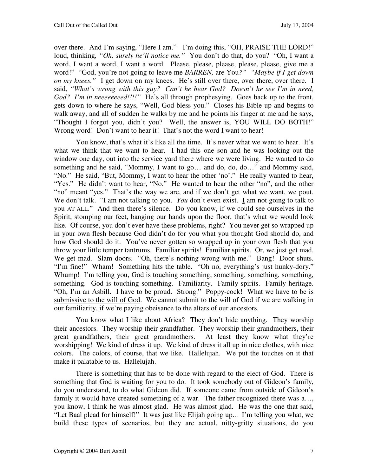over there. And I'm saying, "Here I am." I'm doing this, "OH, PRAISE THE LORD!" loud, thinking*, "Oh, surely he'll notice me."* You don't do that, do you? "Oh, I want a word, I want a word, I want a word. Please, please, please, please, please, give me a word!" "God, you're not going to leave me *BARREN,* are You*?" "Maybe if I get down on my knees."* I get down on my knees. He's still over there, over there, over there. I said, *"What's wrong with this guy? Can't he hear God? Doesn't he see I'm in need, God? I'm in neeeeeeeed!!!!"* He's all through prophesying. Goes back up to the front, gets down to where he says, "Well, God bless you." Closes his Bible up and begins to walk away, and all of sudden he walks by me and he points his finger at me and he says, "Thought I forgot you, didn't you? Well, the answer is, YOU WILL DO BOTH!" Wrong word! Don't want to hear it! That's not the word I want to hear!

You know, that's what it's like all the time. It's never what we want to hear. It's what we think that we want to hear. I had this one son and he was looking out the window one day, out into the service yard there where we were living. He wanted to do something and he said, "Mommy, I want to go… and do, do, do…" and Mommy said, "No." He said, "But, Mommy, I want to hear the other 'no'." He really wanted to hear, "Yes." He didn't want to hear, "No." He wanted to hear the other "no", and the other "no" meant "yes." That's the way we are, and if we don't get what we want, we pout. We don't talk. "I am not talking to you. *You* don't even exist. I am not going to talk to you AT ALL." And then there's silence. Do you know, if we could see ourselves in the Spirit, stomping our feet, banging our hands upon the floor, that's what we would look like. Of course, you don't ever have these problems, right? You never get so wrapped up in your own flesh because God didn't do for you what you thought God should do, and how God should do it. You've never gotten so wrapped up in your own flesh that you throw your little temper tantrums. Familiar spirits! Familiar spirits. Or, we just get mad. We get mad. Slam doors. "Oh, there's nothing wrong with me." Bang! Door shuts. "I'm fine!" Wham! Something hits the table. "Oh no, everything's just hunky-dory." Whump! I'm telling you, God is touching something, something, something, something, something. God is touching something. Familiarity. Family spirits. Family heritage. "Oh, I'm an Asbill. I have to be proud. Strong." Poppy-cock! What we have to be is submissive to the will of God. We cannot submit to the will of God if we are walking in our familiarity, if we're paying obeisance to the altars of our ancestors.

You know what I like about Africa? They don't hide anything. They worship their ancestors. They worship their grandfather. They worship their grandmothers, their great grandfathers, their great grandmothers. At least they know what they're worshipping! We kind of dress it up. We kind of dress it all up in nice clothes, with nice colors. The colors, of course, that we like. Hallelujah. We put the touches on it that make it palatable to us. Hallelujah.

There is something that has to be done with regard to the elect of God. There is something that God is waiting for you to do. It took somebody out of Gideon's family, do you understand, to do what Gideon did. If someone came from outside of Gideon's family it would have created something of a war. The father recognized there was a... you know, I think he was almost glad. He was almost glad. He was the one that said, "Let Baal plead for himself!" It was just like Elijah going up... I'm telling you what, we build these types of scenarios, but they are actual, nitty-gritty situations, do you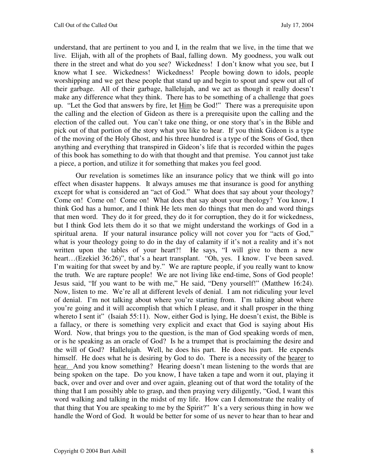understand, that are pertinent to you and I, in the realm that we live, in the time that we live. Elijah, with all of the prophets of Baal, falling down. My goodness, you walk out there in the street and what do you see? Wickedness! I don't know what you see, but I know what I see. Wickedness! Wickedness! People bowing down to idols, people worshipping and we get these people that stand up and begin to spout and spew out all of their garbage. All of their garbage, hallelujah, and we act as though it really doesn't make any difference what they think. There has to be something of a challenge that goes up. "Let the God that answers by fire, let Him be God!" There was a prerequisite upon the calling and the election of Gideon as there is a prerequisite upon the calling and the election of the called out. You can't take one thing, or one story that's in the Bible and pick out of that portion of the story what you like to hear. If you think Gideon is a type of the moving of the Holy Ghost, and his three hundred is a type of the Sons of God, then anything and everything that transpired in Gideon's life that is recorded within the pages of this book has something to do with that thought and that premise. You cannot just take a piece, a portion, and utilize it for something that makes you feel good.

Our revelation is sometimes like an insurance policy that we think will go into effect when disaster happens. It always amuses me that insurance is good for anything except for what is considered an "act of God." What does that say about your theology? Come on! Come on! Come on! What does that say about your theology? You know, I think God has a humor, and I think He lets men do things that men do and word things that men word. They do it for greed, they do it for corruption, they do it for wickedness, but I think God lets them do it so that we might understand the workings of God in a spiritual arena. If your natural insurance policy will not cover you for "acts of God," what is your theology going to do in the day of calamity if it's not a reality and it's not written upon the tables of your heart?! He says, "I will give to them a new heart…(Ezekiel 36:26)", that's a heart transplant. "Oh, yes. I know. I've been saved. I'm waiting for that sweet by and by." We are rapture people, if you really want to know the truth. We are rapture people! We are not living like end-time, Sons of God people! Jesus said, "If you want to be with me," He said, "Deny yourself!" (Matthew 16:24). Now, listen to me. We're all at different levels of denial. I am not ridiculing your level of denial. I'm not talking about where you're starting from. I'm talking about where you're going and it will accomplish that which I please, and it shall prosper in the thing whereto I sent it" (Isaiah 55:11). Now, either God is lying, He doesn't exist, the Bible is a fallacy, or there is something very explicit and exact that God is saying about His Word. Now, that brings you to the question, is the man of God speaking words of men, or is he speaking as an oracle of God? Is he a trumpet that is proclaiming the desire and the will of God? Hallelujah. Well, he does his part. He does his part. He expends himself. He does what he is desiring by God to do. There is a necessity of the hearer to hear. And you know something? Hearing doesn't mean listening to the words that are being spoken on the tape. Do you know, I have taken a tape and worn it out, playing it back, over and over and over and over again, gleaning out of that word the totality of the thing that I am possibly able to grasp, and then praying very diligently, "God, I want this word walking and talking in the midst of my life. How can I demonstrate the reality of that thing that You are speaking to me by the Spirit?" It's a very serious thing in how we handle the Word of God. It would be better for some of us never to hear than to hear and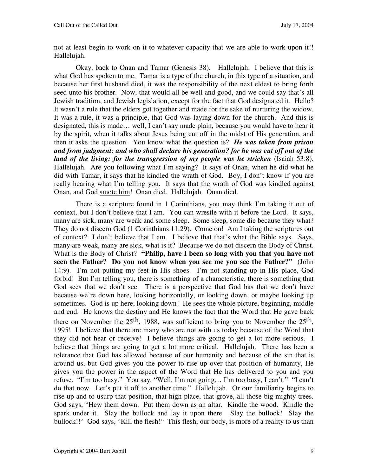not at least begin to work on it to whatever capacity that we are able to work upon it!! Hallelujah.

Okay, back to Onan and Tamar (Genesis 38). Hallelujah. I believe that this is what God has spoken to me. Tamar is a type of the church, in this type of a situation, and because her first husband died, it was the responsibility of the next eldest to bring forth seed unto his brother. Now, that would all be well and good, and we could say that's all Jewish tradition, and Jewish legislation, except for the fact that God designated it. Hello? It wasn't a rule that the elders got together and made for the sake of nurturing the widow. It was a rule, it was a principle, that God was laying down for the church. And this is designated, this is made… well, I can't say made plain, because you would have to hear it by the spirit, when it talks about Jesus being cut off in the midst of His generation, and then it asks the question. You know what the question is? *He was taken from prison and from judgment: and who shall declare his generation? for he was cut off out of the land of the living: for the transgression of my people was he stricken* (Isaiah 53:8). Hallelujah. Are you following what I'm saying? It says of Onan, when he did what he did with Tamar, it says that he kindled the wrath of God. Boy, I don't know if you are really hearing what I'm telling you. It says that the wrath of God was kindled against Onan, and God smote him! Onan died. Hallelujah. Onan died.

There is a scripture found in 1 Corinthians, you may think I'm taking it out of context, but I don't believe that I am. You can wrestle with it before the Lord. It says, many are sick, many are weak and some sleep. Some sleep, some die because they what? They do not discern God (1 Corinthians 11:29). Come on! Am I taking the scriptures out of context? I don't believe that I am. I believe that that's what the Bible says. Says, many are weak, many are sick, what is it? Because we do not discern the Body of Christ. What is the Body of Christ? **"Philip, have I been so long with you that you have not seen the Father? Do you not know when you see me you see the Father?"** (John 14:9). I'm not putting my feet in His shoes. I'm not standing up in His place, God forbid! But I'm telling you, there is something of a characteristic, there is something that God sees that we don't see. There is a perspective that God has that we don't have because we're down here, looking horizontally, or looking down, or maybe looking up sometimes. God is up here, looking down! He sees the whole picture, beginning, middle and end. He knows the destiny and He knows the fact that the Word that He gave back there on November the 25th, 1988, was sufficient to bring you to November the 25th, 1995! I believe that there are many who are not with us today because of the Word that they did not hear or receive! I believe things are going to get a lot more serious. I believe that things are going to get a lot more critical. Hallelujah. There has been a tolerance that God has allowed because of our humanity and because of the sin that is around us, but God gives you the power to rise up over that position of humanity, He gives you the power in the aspect of the Word that He has delivered to you and you refuse. "I'm too busy." You say, "Well, I'm not going… I'm too busy, I can't." "I can't do that now. Let's put it off to another time." Hallelujah. Or our familiarity begins to rise up and to usurp that position, that high place, that grove, all those big mighty trees. God says, "Hew them down. Put them down as an altar. Kindle the wood. Kindle the spark under it. Slay the bullock and lay it upon there. Slay the bullock! Slay the bullock!!" God says, "Kill the flesh!" This flesh, our body, is more of a reality to us than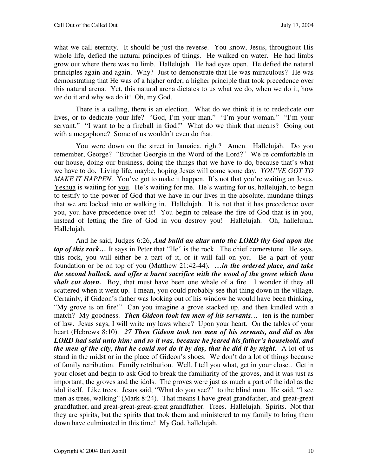what we call eternity. It should be just the reverse. You know, Jesus, throughout His whole life, defied the natural principles of things. He walked on water. He had limbs grow out where there was no limb. Hallelujah. He had eyes open. He defied the natural principles again and again. Why? Just to demonstrate that He was miraculous? He was demonstrating that He was of a higher order, a higher principle that took precedence over this natural arena. Yet, this natural arena dictates to us what we do, when we do it, how we do it and why we do it! Oh, my God.

There is a calling, there is an election. What do we think it is to rededicate our lives, or to dedicate your life? "God, I'm your man." "I'm your woman." "I'm your servant." "I want to be a fireball in God!" What do we think that means? Going out with a megaphone? Some of us wouldn't even do that.

You were down on the street in Jamaica, right? Amen. Hallelujah. Do you remember, George? "Brother Georgie in the Word of the Lord?" We're comfortable in our house, doing our business, doing the things that we have to do, because that's what we have to do. Living life, maybe, hoping Jesus will come some day. *YOU'VE GOT TO MAKE IT HAPPEN*. You've got to make it happen. It's not that you're waiting on Jesus. Yeshua is waiting for you. He's waiting for me. He's waiting for us, hallelujah, to begin to testify to the power of God that we have in our lives in the absolute, mundane things that we are locked into or walking in. Hallelujah. It is not that it has precedence over you, you have precedence over it! You begin to release the fire of God that is in you, instead of letting the fire of God in you destroy you! Hallelujah. Oh, hallelujah. Hallelujah.

And he said, Judges 6:26, *And build an altar unto the LORD thy God upon the top of this rock*… It says in Peter that "He" is the rock. The chief cornerstone. He says, this rock, you will either be a part of it, or it will fall on you. Be a part of your foundation or be on top of you (Matthew 21:42-44)*. …in the ordered place, and take the second bullock, and offer a burnt sacrifice with the wood of the grove which thou shalt cut down.* Boy, that must have been one whale of a fire. I wonder if they all scattered when it went up. I mean, you could probably see that thing down in the village. Certainly, if Gideon's father was looking out of his window he would have been thinking, "My grove is on fire!" Can you imagine a grove stacked up, and then kindled with a match? My goodness. *Then Gideon took ten men of his servants…* ten is the number of law. Jesus says, I will write my laws where? Upon your heart. On the tables of your heart (Hebrews 8:10). *27 Then Gideon took ten men of his servants, and did as the LORD had said unto him: and so it was, because he feared his father's household, and the men of the city, that he could not do it by day, that he did it by night.* A lot of us stand in the midst or in the place of Gideon's shoes. We don't do a lot of things because of family retribution. Family retribution. Well, I tell you what, get in your closet. Get in your closet and begin to ask God to break the familiarity of the groves, and it was just as important, the groves and the idols. The groves were just as much a part of the idol as the idol itself. Like trees. Jesus said, "What do you see?" to the blind man. He said, "I see men as trees, walking" (Mark 8:24). That means I have great grandfather, and great-great grandfather, and great-great-great-great grandfather. Trees. Hallelujah. Spirits. Not that they are spirits, but the spirits that took them and ministered to my family to bring them down have culminated in this time! My God, hallelujah.